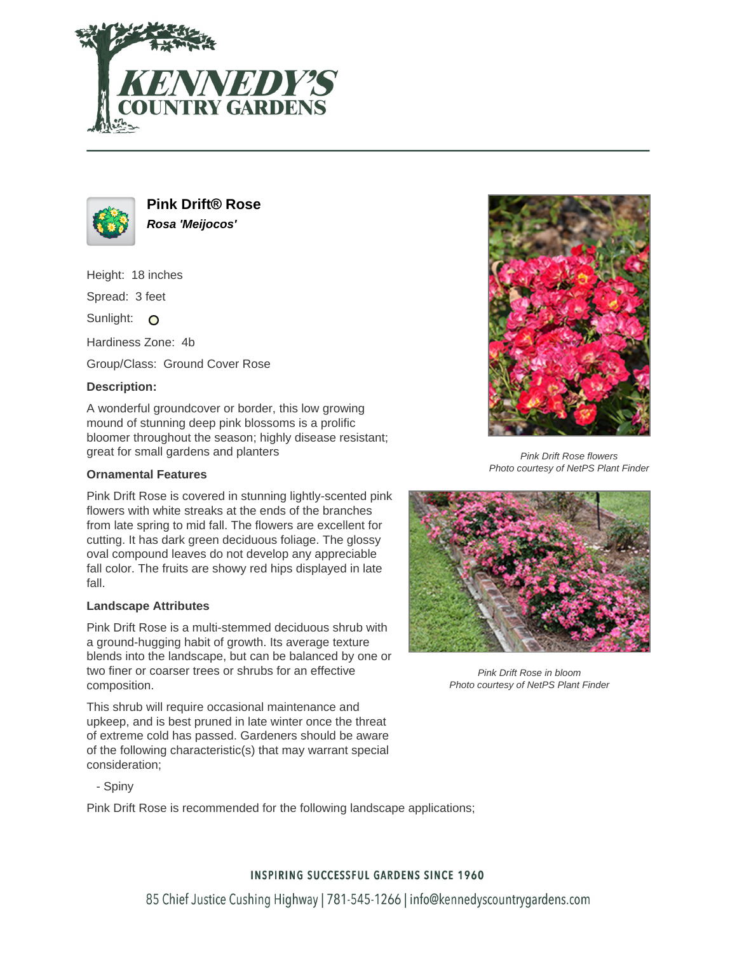



**Pink Drift® Rose Rosa 'Meijocos'**

Height: 18 inches

Spread: 3 feet

Sunlight: O

Hardiness Zone: 4b

Group/Class: Ground Cover Rose

# **Description:**

A wonderful groundcover or border, this low growing mound of stunning deep pink blossoms is a prolific bloomer throughout the season; highly disease resistant; great for small gardens and planters

### **Ornamental Features**

Pink Drift Rose is covered in stunning lightly-scented pink flowers with white streaks at the ends of the branches from late spring to mid fall. The flowers are excellent for cutting. It has dark green deciduous foliage. The glossy oval compound leaves do not develop any appreciable fall color. The fruits are showy red hips displayed in late fall.

#### **Landscape Attributes**

Pink Drift Rose is a multi-stemmed deciduous shrub with a ground-hugging habit of growth. Its average texture blends into the landscape, but can be balanced by one or two finer or coarser trees or shrubs for an effective composition.

This shrub will require occasional maintenance and upkeep, and is best pruned in late winter once the threat of extreme cold has passed. Gardeners should be aware of the following characteristic(s) that may warrant special consideration;

- Spiny

Pink Drift Rose is recommended for the following landscape applications;



Pink Drift Rose flowers Photo courtesy of NetPS Plant Finder



Pink Drift Rose in bloom Photo courtesy of NetPS Plant Finder

# **INSPIRING SUCCESSFUL GARDENS SINCE 1960**

85 Chief Justice Cushing Highway | 781-545-1266 | info@kennedyscountrygardens.com